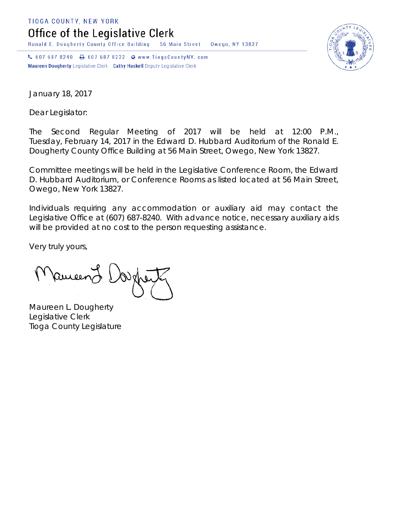TIOGA COUNTY, NEW YORK

Office of the Legislative Clerk

Ronald E. Dougherty County Office Building 56 Main Street Owego, NY 13827

↓ 607 687 8240 → 607 687 8232 → www.TiogaCountyNY.com Maureen Dougherty Legislative Clerk Cathy Haskell Deputy Legislative Clerk



January 18, 2017

Dear Legislator:

The Second Regular Meeting of 2017 will be held at 12:00 P.M., Tuesday, February 14, 2017 in the Edward D. Hubbard Auditorium of the Ronald E. Dougherty County Office Building at 56 Main Street, Owego, New York 13827.

Committee meetings will be held in the Legislative Conference Room, the Edward D. Hubbard Auditorium, or Conference Rooms as listed located at 56 Main Street, Owego, New York 13827.

Individuals requiring any accommodation or auxiliary aid may contact the Legislative Office at (607) 687-8240. With advance notice, necessary auxiliary aids will be provided at no cost to the person requesting assistance.

Very truly yours,

**Pancent** 

Maureen L. Dougherty Legislative Clerk Tioga County Legislature